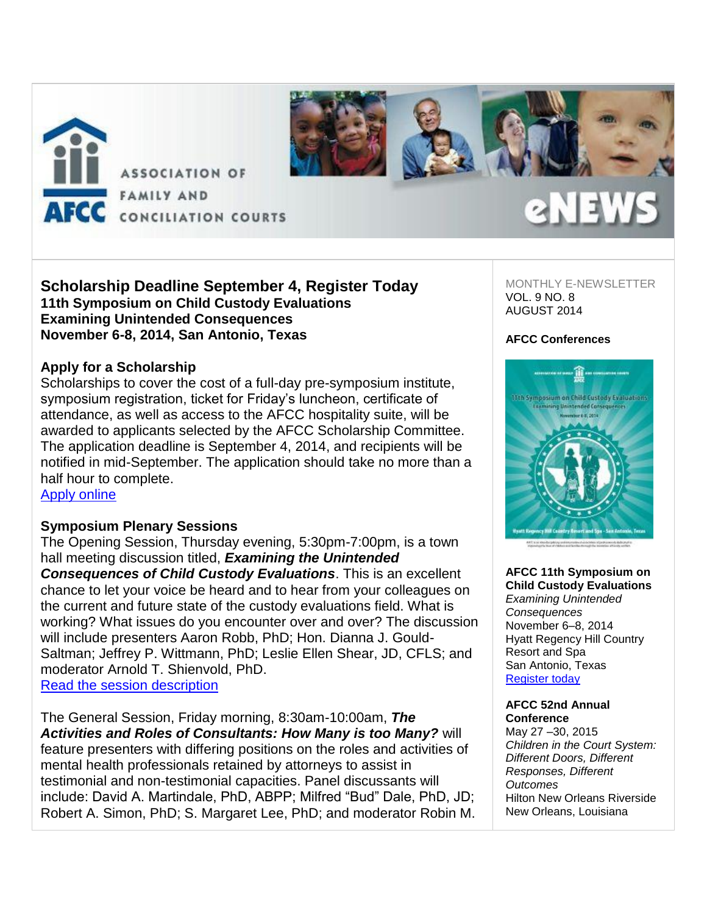

**Scholarship Deadline September 4, Register Today 11th Symposium on Child Custody Evaluations Examining Unintended Consequences November 6-8, 2014, San Antonio, Texas**

#### **Apply for a Scholarship**

Scholarships to cover the cost of a full-day pre-symposium institute, symposium registration, ticket for Friday's luncheon, certificate of attendance, as well as access to the AFCC hospitality suite, will be awarded to applicants selected by the AFCC Scholarship Committee. The application deadline is September 4, 2014, and recipients will be notified in mid-September. The application should take no more than a half hour to complete.

[Apply online](http://afcc.networkats.com/members_online/utilities/emailct.asp?cf74b9fb1d61f5824c68e4a249a2d8ae0e01f91ed27f79d176c6e7a81c91da410e8e55f0004a5303)

#### **Symposium Plenary Sessions**

The Opening Session, Thursday evening, 5:30pm-7:00pm, is a town hall meeting discussion titled, *Examining the Unintended Consequences of Child Custody Evaluations*. This is an excellent chance to let your voice be heard and to hear from your colleagues on the current and future state of the custody evaluations field. What is working? What issues do you encounter over and over? The discussion will include presenters Aaron Robb, PhD; Hon. Dianna J. Gould-Saltman; Jeffrey P. Wittmann, PhD; Leslie Ellen Shear, JD, CFLS; and moderator Arnold T. Shienvold, PhD. [Read the session description](http://afcc.networkats.com/members_online/utilities/emailct.asp?770247ad9c8a939f19b3feaeba0efc2934d1a57bd27f79d176c6e7a81c91da410e8e55f0004a5303)

The General Session, Friday morning, 8:30am-10:00am, *The Activities and Roles of Consultants: How Many is too Many?* will feature presenters with differing positions on the roles and activities of mental health professionals retained by attorneys to assist in testimonial and non-testimonial capacities. Panel discussants will include: David A. Martindale, PhD, ABPP; Milfred "Bud" Dale, PhD, JD; Robert A. Simon, PhD; S. Margaret Lee, PhD; and moderator Robin M.

MONTHLY E-NEWSLETTER VOL. 9 NO. 8 AUGUST 2014

#### **AFCC Conferences**



**AFCC 11th Symposium on Child Custody Evaluations** *Examining Unintended Consequences* November 6–8, 2014 Hyatt Regency Hill Country Resort and Spa San Antonio, Texas [Register today](http://afcc.networkats.com/members_online/utilities/emailct.asp?b1451cf1f06324544f4f3be2bea345eaa9139a34d27f79d176c6e7a81c91da410e8e55f0004a5303)

#### **AFCC 52nd Annual Conference**

May 27 –30, 2015 *Children in the Court System: Different Doors, Different Responses, Different Outcomes* Hilton New Orleans Riverside New Orleans, Louisiana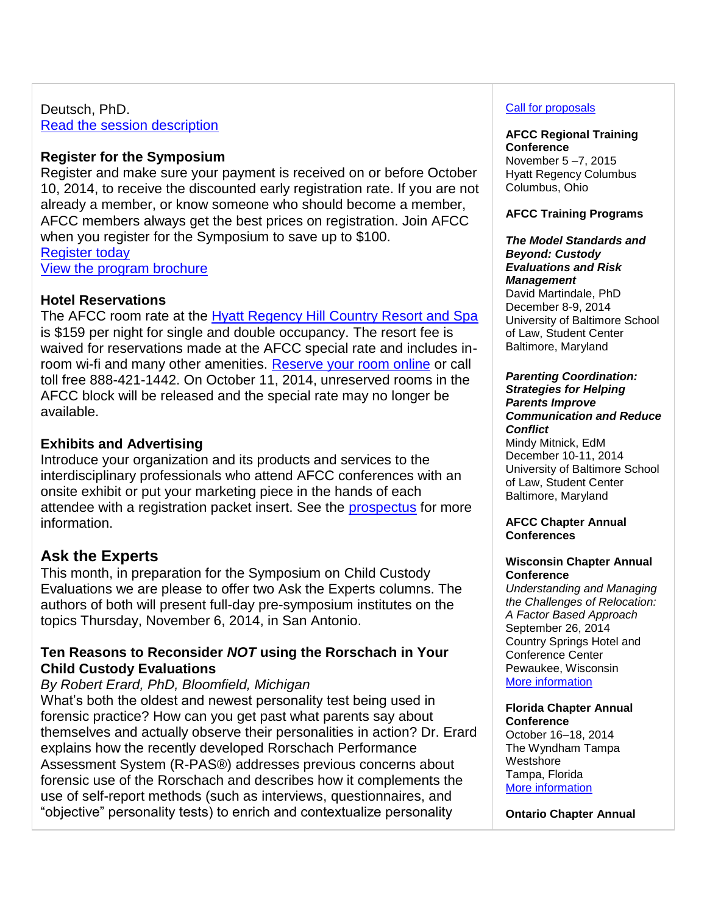#### Deutsch, PhD. [Read the session description](http://afcc.networkats.com/members_online/utilities/emailct.asp?770247ad9c8a939f19b3feaeba0efc2934d1a57bd27f79d176c6e7a81c91da410e8e55f0004a5303)

## **Register for the Symposium**

Register and make sure your payment is received on or before October 10, 2014, to receive the discounted early registration rate. If you are not already a member, or know someone who should become a member, AFCC members always get the best prices on registration. Join AFCC when you register for the Symposium to save up to \$100. [Register today](http://afcc.networkats.com/members_online/utilities/emailct.asp?ddc43bee60fb7b98f5bcd066d2228ab863d8b60ad27f79d176c6e7a81c91da410e8e55f0004a5303) 

[View the program brochure](http://afcc.networkats.com/members_online/utilities/emailct.asp?c74ada4c145906829f3a4bdd366fddd99e144339d27f79d176c6e7a81c91da410e8e55f0004a5303) 

## **Hotel Reservations**

The AFCC room rate at the [Hyatt Regency Hill Country Resort and Spa](http://afcc.networkats.com/members_online/utilities/emailct.asp?bfeb99de7bd9c6591dd9ab197144dda15608a966d27f79d176c6e7a81c91da410e8e55f0004a5303) is \$159 per night for single and double occupancy. The resort fee is waived for reservations made at the AFCC special rate and includes inroom wi-fi and many other amenities. [Reserve your room online](http://afcc.networkats.com/members_online/utilities/emailct.asp?2e12fae41321ab6e981a0e9f37cdbe153ca5aeaad27f79d176c6e7a81c91da410e8e55f0004a5303) or call toll free 888-421-1442. On October 11, 2014, unreserved rooms in the AFCC block will be released and the special rate may no longer be available.

## **Exhibits and Advertising**

Introduce your organization and its products and services to the interdisciplinary professionals who attend AFCC conferences with an onsite exhibit or put your marketing piece in the hands of each attendee with a registration packet insert. See the [prospectus](http://afcc.networkats.com/members_online/utilities/emailct.asp?f92249b76d68c0717721014bf512e416db528d28d27f79d176c6e7a81c91da410e8e55f0004a5303) for more information.

# **Ask the Experts**

This month, in preparation for the Symposium on Child Custody Evaluations we are please to offer two Ask the Experts columns. The authors of both will present full-day pre-symposium institutes on the topics Thursday, November 6, 2014, in San Antonio.

## **Ten Reasons to Reconsider** *NOT* **using the Rorschach in Your Child Custody Evaluations**

#### *By Robert Erard, PhD, Bloomfield, Michigan*

What's both the oldest and newest personality test being used in forensic practice? How can you get past what parents say about themselves and actually observe their personalities in action? Dr. Erard explains how the recently developed Rorschach Performance Assessment System (R-PAS®) addresses previous concerns about forensic use of the Rorschach and describes how it complements the use of self-report methods (such as interviews, questionnaires, and "objective" personality tests) to enrich and contextualize personality

#### [Call for proposals](http://afcc.networkats.com/members_online/utilities/emailct.asp?a22da3a91a57c8205e3595fb4100b89933f17fbfd27f79d176c6e7a81c91da410e8e55f0004a5303)

#### **AFCC Regional Training Conference** November 5 –7, 2015 Hyatt Regency Columbus Columbus, Ohio

#### **AFCC Training Programs**

#### *The Model Standards and Beyond: Custody Evaluations and Risk Management* David Martindale, PhD December 8-9, 2014

University of Baltimore School of Law, Student Center Baltimore, Maryland

#### *Parenting Coordination: Strategies for Helping Parents Improve Communication and Reduce*

#### *Conflict* Mindy Mitnick, EdM

December 10-11, 2014 University of Baltimore School of Law, Student Center Baltimore, Maryland

#### **AFCC Chapter Annual Conferences**

#### **Wisconsin Chapter Annual Conference**

*Understanding and Managing the Challenges of Relocation: A Factor Based Approach* September 26, 2014 Country Springs Hotel and Conference Center Pewaukee, Wisconsin [More information](http://afcc.networkats.com/members_online/utilities/emailct.asp?8154dfa10d2e0ff160085e6bc876325965c56ff8d27f79d176c6e7a81c91da410e8e55f0004a5303)

# **Florida Chapter Annual**

**Conference** October 16–18, 2014 The Wyndham Tampa **Westshore** Tampa, Florida [More information](http://afcc.networkats.com/members_online/utilities/emailct.asp?f6b6fa4d42b1e1bfc9195d0c4240198ab5242a55d27f79d176c6e7a81c91da410e8e55f0004a5303) 

**Ontario Chapter Annual**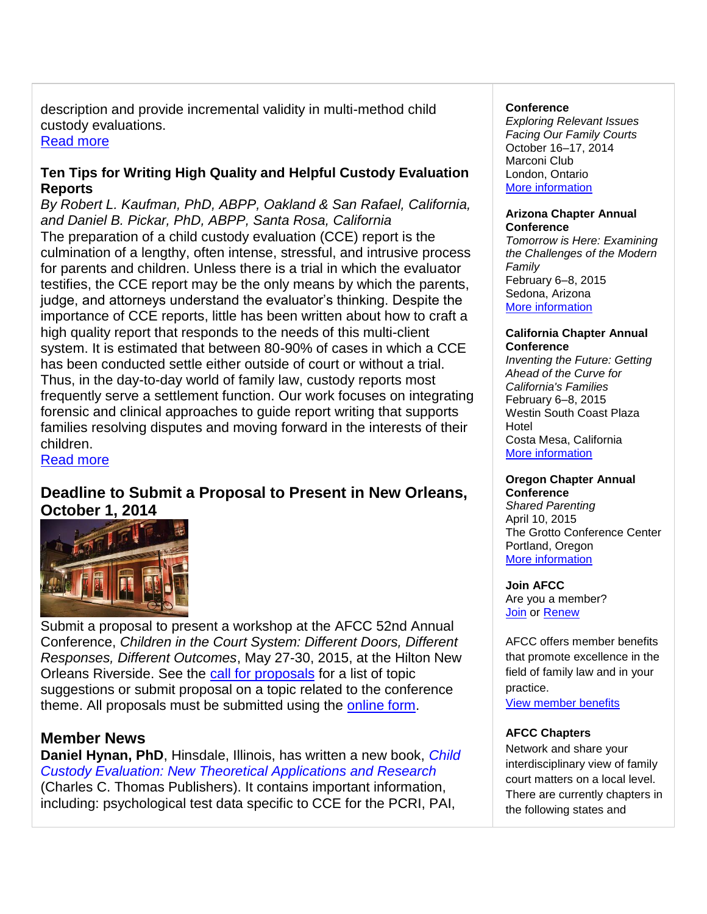description and provide incremental validity in multi-method child custody evaluations.

[Read more](http://afcc.networkats.com/members_online/utilities/emailct.asp?7bf64ad611dd0d3f7da6c73333d64f4240d65a75d27f79d176c6e7a81c91da410e8e55f0004a5303)

## **Ten Tips for Writing High Quality and Helpful Custody Evaluation Reports**

*By Robert L. Kaufman, PhD, ABPP, Oakland & San Rafael, California, and Daniel B. Pickar, PhD, ABPP, Santa Rosa, California* The preparation of a child custody evaluation (CCE) report is the culmination of a lengthy, often intense, stressful, and intrusive process for parents and children. Unless there is a trial in which the evaluator testifies, the CCE report may be the only means by which the parents, judge, and attorneys understand the evaluator's thinking. Despite the importance of CCE reports, little has been written about how to craft a high quality report that responds to the needs of this multi-client system. It is estimated that between 80-90% of cases in which a CCE has been conducted settle either outside of court or without a trial. Thus, in the day-to-day world of family law, custody reports most frequently serve a settlement function. Our work focuses on integrating forensic and clinical approaches to guide report writing that supports families resolving disputes and moving forward in the interests of their children.

[Read more](http://afcc.networkats.com/members_online/utilities/emailct.asp?a3bc96023746861ee059550b27c8f3ceaf0a3e34d27f79d176c6e7a81c91da410e8e55f0004a5303)

# **Deadline to Submit a Proposal to Present in New Orleans, October 1, 2014**



Submit a proposal to present a workshop at the AFCC 52nd Annual Conference, *Children in the Court System: Different Doors, Different Responses, Different Outcomes*, May 27-30, 2015, at the Hilton New Orleans Riverside. See the [call for proposals](http://afcc.networkats.com/members_online/utilities/emailct.asp?a22da3a91a57c8205e3595fb4100b89933f17fbfd27f79d176c6e7a81c91da410e8e55f0004a5303) for a list of topic suggestions or submit proposal on a topic related to the conference theme. All proposals must be submitted using the [online form.](http://afcc.networkats.com/members_online/utilities/emailct.asp?763db5260dca221738bdf35cba82cee2565a37dbd27f79d176c6e7a81c91da410e8e55f0004a5303)

# **Member News**

**Daniel Hynan, PhD**, Hinsdale, Illinois, has written a new book, *[Child](http://afcc.networkats.com/members_online/utilities/emailct.asp?7f817265ac732e00c2fbfa69cc8e126479e1ad6fd27f79d176c6e7a81c91da410e8e55f0004a5303)  [Custody Evaluation: New Theoretical Applications and Research](http://afcc.networkats.com/members_online/utilities/emailct.asp?7f817265ac732e00c2fbfa69cc8e126479e1ad6fd27f79d176c6e7a81c91da410e8e55f0004a5303)* (Charles C. Thomas Publishers). It contains important information, including: psychological test data specific to CCE for the PCRI, PAI,

#### **Conference**

*Exploring Relevant Issues Facing Our Family Courts* October 16–17, 2014 Marconi Club London, Ontario [More information](http://afcc.networkats.com/members_online/utilities/emailct.asp?e30c2ca14f97b3a06c5b680cd8b86923fb3f7758d27f79d176c6e7a81c91da410e8e55f0004a5303)

#### **Arizona Chapter Annual Conference**

*Tomorrow is Here: Examining the Challenges of the Modern Family* February 6–8, 2015 Sedona, Arizona [More information](http://afcc.networkats.com/members_online/utilities/emailct.asp?b683919384292367f2761f53c9d0e7d9cd1b7eb8d27f79d176c6e7a81c91da410e8e55f0004a5303)

#### **California Chapter Annual Conference**

*Inventing the Future: Getting Ahead of the Curve for California's Families* February 6–8, 2015 Westin South Coast Plaza Hotel Costa Mesa, California [More information](http://afcc.networkats.com/members_online/utilities/emailct.asp?56f699ffa3aa01c27f6719c1a74f3e6d1685d6ead27f79d176c6e7a81c91da410e8e55f0004a5303)

# **Oregon Chapter Annual**

**Conference** *Shared Parenting* April 10, 2015 The Grotto Conference Center Portland, Oregon [More information](http://afcc.networkats.com/members_online/utilities/emailct.asp?83940b7187554ecb23ae4f63a4a46f85716b66dbd27f79d176c6e7a81c91da410e8e55f0004a5303)

#### **Join AFCC**

Are you a member? [Join](http://afcc.networkats.com/members_online/utilities/emailct.asp?edbca97dda90ec9c7877e5c39b80449e2a09cdc5d27f79d176c6e7a81c91da410e8e55f0004a5303) or [Renew](http://afcc.networkats.com/members_online/utilities/emailct.asp?c9990ac6d253c321cc68f4c07d0b9a93f7432667d27f79d176c6e7a81c91da410e8e55f0004a5303)

AFCC offers member benefits that promote excellence in the field of family law and in your practice.

[View member benefits](http://afcc.networkats.com/members_online/utilities/emailct.asp?85046a9e21c5b1703497cdd41ff7fa21c27e7b3cd27f79d176c6e7a81c91da410e8e55f0004a5303)

#### **AFCC Chapters**

Network and share your interdisciplinary view of family court matters on a local level. There are currently chapters in the following states and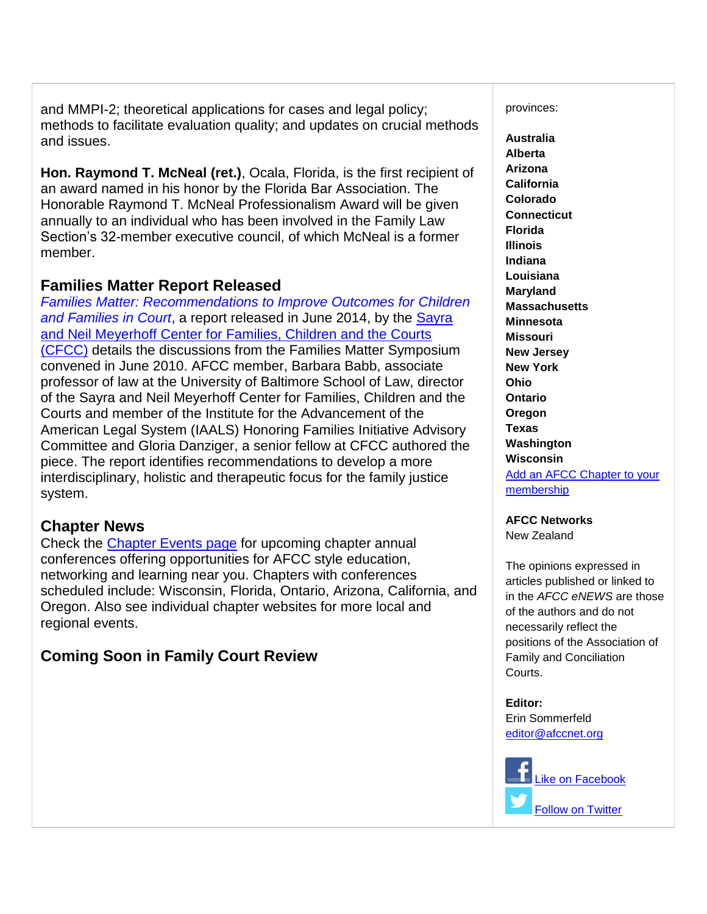and MMPI-2; theoretical applications for cases and legal policy; methods to facilitate evaluation quality; and updates on crucial methods and issues.

**Hon. Raymond T. McNeal (ret.)**, Ocala, Florida, is the first recipient of an award named in his honor by the Florida Bar Association. The Honorable Raymond T. McNeal Professionalism Award will be given annually to an individual who has been involved in the Family Law Section's 32-member executive council, of which McNeal is a former member.

## **Families Matter Report Released**

*[Families Matter: Recommendations to Improve Outcomes for Children](http://afcc.networkats.com/members_online/utilities/emailct.asp?d5ef93456d0499b4214748b3b2ff5451baf54664d27f79d176c6e7a81c91da410e8e55f0004a5303)  [and Families in Court](http://afcc.networkats.com/members_online/utilities/emailct.asp?d5ef93456d0499b4214748b3b2ff5451baf54664d27f79d176c6e7a81c91da410e8e55f0004a5303)*, a report released in June 2014, by the [Sayra](http://afcc.networkats.com/members_online/utilities/emailct.asp?6b29c23fdd5c6b294c6a4db68738d94319a22fb7d27f79d176c6e7a81c91da410e8e55f0004a5303)  [and Neil Meyerhoff Center for Families, Children and the Courts](http://afcc.networkats.com/members_online/utilities/emailct.asp?6b29c23fdd5c6b294c6a4db68738d94319a22fb7d27f79d176c6e7a81c91da410e8e55f0004a5303)  [\(CFCC\)](http://afcc.networkats.com/members_online/utilities/emailct.asp?6b29c23fdd5c6b294c6a4db68738d94319a22fb7d27f79d176c6e7a81c91da410e8e55f0004a5303) details the discussions from the Families Matter Symposium convened in June 2010. AFCC member, Barbara Babb, associate professor of law at the University of Baltimore School of Law, director of the Sayra and Neil Meyerhoff Center for Families, Children and the Courts and member of the Institute for the Advancement of the American Legal System (IAALS) Honoring Families Initiative Advisory Committee and Gloria Danziger, a senior fellow at CFCC authored the piece. The report identifies recommendations to develop a more interdisciplinary, holistic and therapeutic focus for the family justice system.

# **Chapter News**

Check the [Chapter Events page](http://afcc.networkats.com/members_online/utilities/emailct.asp?1f133a27f2dc917d7230d29550eec79ede20e24ad27f79d176c6e7a81c91da410e8e55f0004a5303) for upcoming chapter annual conferences offering opportunities for AFCC style education, networking and learning near you. Chapters with conferences scheduled include: Wisconsin, Florida, Ontario, Arizona, California, and Oregon. Also see individual chapter websites for more local and regional events.

# **Coming Soon in Family Court Review**

provinces:

**Australia Alberta Arizona California Colorado Connecticut Florida Illinois Indiana Louisiana Maryland Massachusetts Minnesota Missouri New Jersey New York Ohio Ontario Oregon Texas Washington Wisconsin** Add an AFCC Chapter to your [membership](http://afcc.networkats.com/members_online/utilities/emailct.asp?d9de0e7254802ecef8d56887ef8be352b81dafa2d27f79d176c6e7a81c91da410e8e55f0004a5303)

**AFCC Networks** New Zealand

The opinions expressed in articles published or linked to in the *AFCC eNEWS* are those of the authors and do not necessarily reflect the positions of the Association of Family and Conciliation Courts.

#### **Editor:**

Erin Sommerfeld [editor@afccnet.org](mailto:editor@afccnet.org)

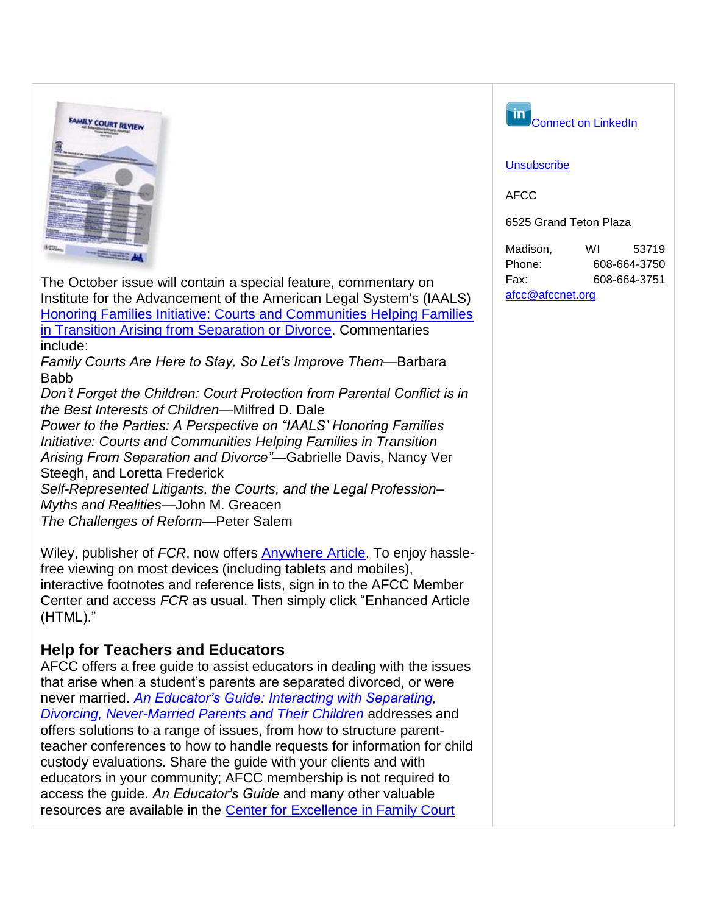

The October issue will contain a special feature, commentary on Institute for the Advancement of the American Legal System's (IAALS) [Honoring Families Initiative: Courts and Communities Helping Families](http://afcc.networkats.com/members_online/utilities/emailct.asp?debc81f3ec31702a34b18543e136e55793193bf0d27f79d176c6e7a81c91da410e8e55f0004a5303)  [in Transition Arising from Separation or Divorce.](http://afcc.networkats.com/members_online/utilities/emailct.asp?debc81f3ec31702a34b18543e136e55793193bf0d27f79d176c6e7a81c91da410e8e55f0004a5303) Commentaries include:

*Family Courts Are Here to Stay, So Let's Improve Them—*Barbara Babb

*Don't Forget the Children: Court Protection from Parental Conflict is in the Best Interests of Children—*Milfred D. Dale

*Power to the Parties: A Perspective on "IAALS' Honoring Families Initiative: Courts and Communities Helping Families in Transition Arising From Separation and Divorce"—*Gabrielle Davis, Nancy Ver Steegh, and Loretta Frederick

*Self-Represented Litigants, the Courts, and the Legal Profession– Myths and Realities—*John M. Greacen

*The Challenges of Reform—*Peter Salem

Wiley, publisher of *FCR*, now offers [Anywhere Article.](http://afcc.networkats.com/members_online/utilities/emailct.asp?054b946c6947bcb6793f5a9b1717c0fedfa898b7d27f79d176c6e7a81c91da410e8e55f0004a5303) To enjoy hasslefree viewing on most devices (including tablets and mobiles), interactive footnotes and reference lists, sign in to the AFCC Member Center and access *FCR* as usual. Then simply click "Enhanced Article (HTML)."

# **Help for Teachers and Educators**

AFCC offers a free guide to assist educators in dealing with the issues that arise when a student's parents are separated divorced, or were never married. *[An Educator's Guide: Interacting with Separating,](http://afcc.networkats.com/members_online/utilities/emailct.asp?f0a3648ad5025660fdc389c145a38d9f4be4b8cdd27f79d176c6e7a81c91da410e8e55f0004a5303)  [Divorcing, Never-Married Parents and Their Children](http://afcc.networkats.com/members_online/utilities/emailct.asp?f0a3648ad5025660fdc389c145a38d9f4be4b8cdd27f79d176c6e7a81c91da410e8e55f0004a5303)* addresses and offers solutions to a range of issues, from how to structure parentteacher conferences to how to handle requests for information for child custody evaluations. Share the guide with your clients and with educators in your community; AFCC membership is not required to access the guide. *An Educator's Guide* and many other valuable resources are available in the [Center for Excellence in Family Court](http://afcc.networkats.com/members_online/utilities/emailct.asp?490f763e4284ab968e1f12ef4d5b44532b48b3b3d27f79d176c6e7a81c91da410e8e55f0004a5303) 

 $\mathsf{in}$ [Connect on LinkedIn](http://afcc.networkats.com/members_online/utilities/emailct.asp?eea9951fa9c1ec47423ee6c1f193cfc41cec4d76d27f79d176c6e7a81c91da410e8e55f0004a5303)

#### [Unsubscribe](mailto:afcc@afccnet.org)

AFCC

6525 Grand Teton Plaza

Madison, WI 53719 Phone: 608-664-3750 Fax: 608-664-3751 [afcc@afccnet.org](http://afcc.networkats.com/members_online/utilities/emailct.asp?5a20aec07318c94397ed10187d92ccafeeccc954d27f79d176c6e7a81c91da410e8e55f0004a5303)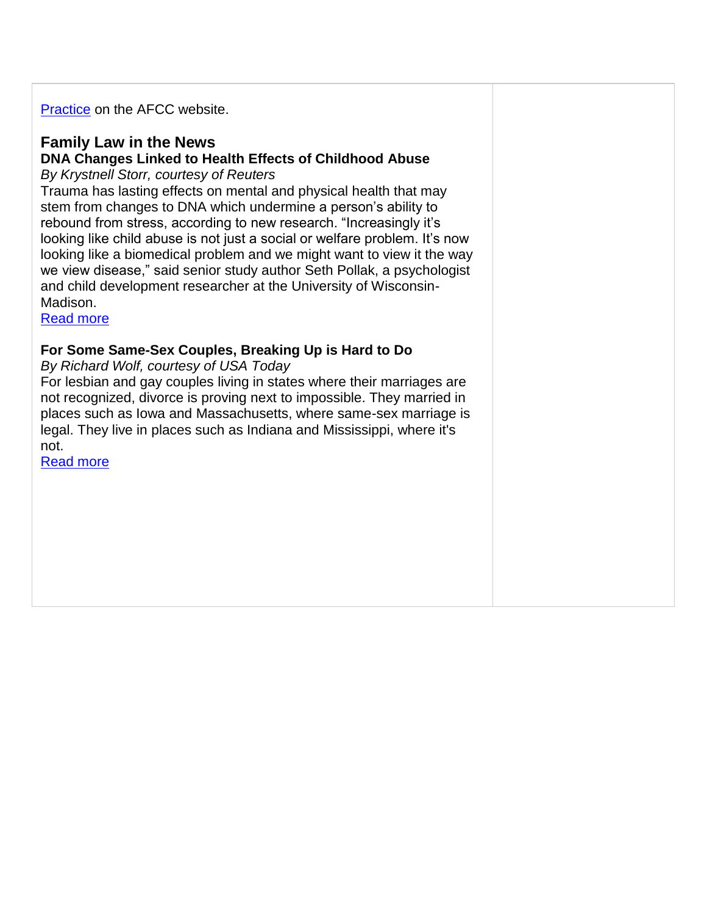[Practice](http://afcc.networkats.com/members_online/utilities/emailct.asp?490f763e4284ab968e1f12ef4d5b44532b48b3b3d27f79d176c6e7a81c91da410e8e55f0004a5303) on the AFCC website.

# **Family Law in the News**

## **DNA Changes Linked to Health Effects of Childhood Abuse**

*By Krystnell Storr, courtesy of Reuters*

Trauma has lasting effects on mental and physical health that may stem from changes to DNA which undermine a person's ability to rebound from stress, according to new research. "Increasingly it's looking like child abuse is not just a social or welfare problem. It's now looking like a biomedical problem and we might want to view it the way we view disease," said senior study author Seth Pollak, a psychologist and child development researcher at the University of Wisconsin-Madison.

[Read more](http://afcc.networkats.com/members_online/utilities/emailct.asp?8e210772c65f72fb124eeccfd69ba29e81ca36bdd27f79d176c6e7a81c91da410e8e55f0004a5303)

## **For Some Same-Sex Couples, Breaking Up is Hard to Do**

*By Richard Wolf, courtesy of USA Today*

For lesbian and gay couples living in states where their marriages are not recognized, divorce is proving next to impossible. They married in places such as Iowa and Massachusetts, where same-sex marriage is legal. They live in places such as Indiana and Mississippi, where it's not.

[Read more](http://afcc.networkats.com/members_online/utilities/emailct.asp?ce7bc87556516a0549985021d57e1f3d685009f8d27f79d176c6e7a81c91da410e8e55f0004a5303)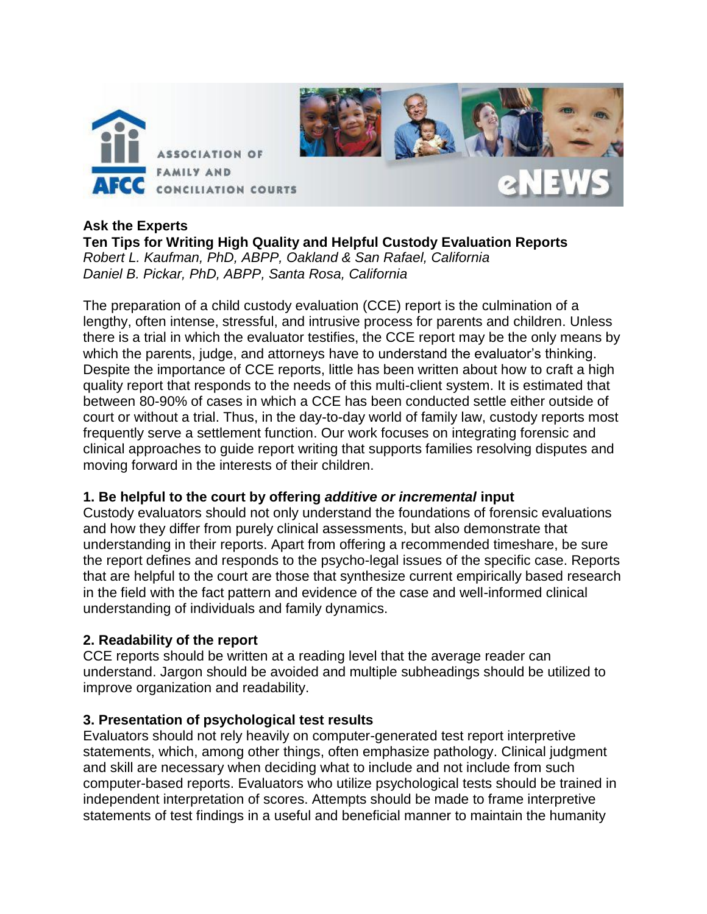

## **Ask the Experts**

**Ten Tips for Writing High Quality and Helpful Custody Evaluation Reports** *Robert L. Kaufman, PhD, ABPP, Oakland & San Rafael, California Daniel B. Pickar, PhD, ABPP, Santa Rosa, California*

The preparation of a child custody evaluation (CCE) report is the culmination of a lengthy, often intense, stressful, and intrusive process for parents and children. Unless there is a trial in which the evaluator testifies, the CCE report may be the only means by which the parents, judge, and attorneys have to understand the evaluator's thinking. Despite the importance of CCE reports, little has been written about how to craft a high quality report that responds to the needs of this multi-client system. It is estimated that between 80-90% of cases in which a CCE has been conducted settle either outside of court or without a trial. Thus, in the day-to-day world of family law, custody reports most frequently serve a settlement function. Our work focuses on integrating forensic and clinical approaches to guide report writing that supports families resolving disputes and moving forward in the interests of their children.

## **1. Be helpful to the court by offering** *additive or incremental* **input**

Custody evaluators should not only understand the foundations of forensic evaluations and how they differ from purely clinical assessments, but also demonstrate that understanding in their reports. Apart from offering a recommended timeshare, be sure the report defines and responds to the psycho-legal issues of the specific case. Reports that are helpful to the court are those that synthesize current empirically based research in the field with the fact pattern and evidence of the case and well-informed clinical understanding of individuals and family dynamics.

## **2. Readability of the report**

CCE reports should be written at a reading level that the average reader can understand. Jargon should be avoided and multiple subheadings should be utilized to improve organization and readability.

## **3. Presentation of psychological test results**

Evaluators should not rely heavily on computer-generated test report interpretive statements, which, among other things, often emphasize pathology. Clinical judgment and skill are necessary when deciding what to include and not include from such computer-based reports. Evaluators who utilize psychological tests should be trained in independent interpretation of scores. Attempts should be made to frame interpretive statements of test findings in a useful and beneficial manner to maintain the humanity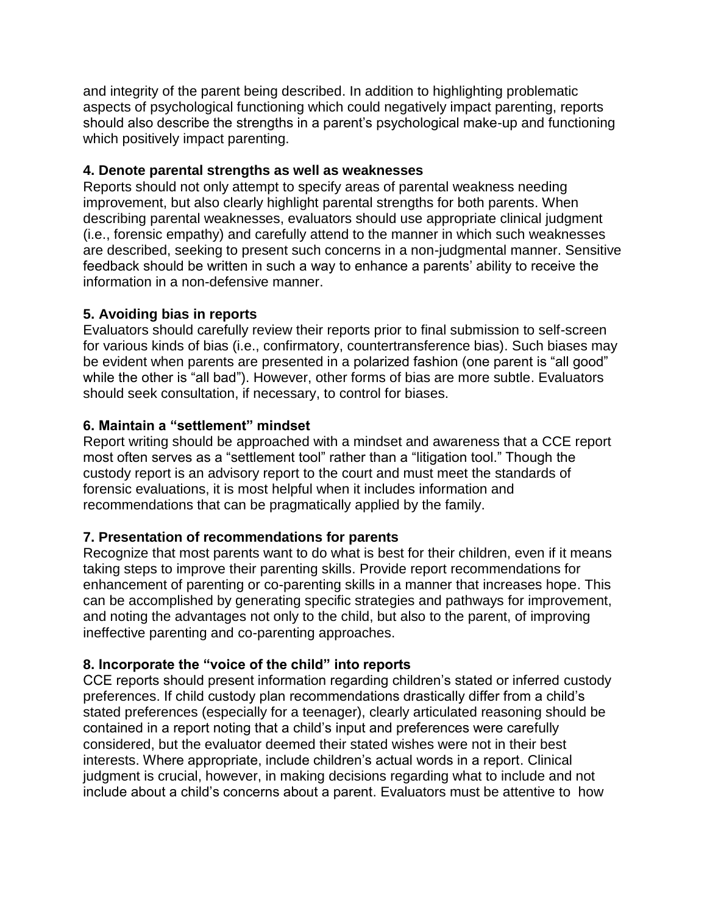and integrity of the parent being described. In addition to highlighting problematic aspects of psychological functioning which could negatively impact parenting, reports should also describe the strengths in a parent's psychological make-up and functioning which positively impact parenting.

## **4. Denote parental strengths as well as weaknesses**

Reports should not only attempt to specify areas of parental weakness needing improvement, but also clearly highlight parental strengths for both parents. When describing parental weaknesses, evaluators should use appropriate clinical judgment (i.e., forensic empathy) and carefully attend to the manner in which such weaknesses are described, seeking to present such concerns in a non-judgmental manner. Sensitive feedback should be written in such a way to enhance a parents' ability to receive the information in a non-defensive manner.

## **5. Avoiding bias in reports**

Evaluators should carefully review their reports prior to final submission to self-screen for various kinds of bias (i.e., confirmatory, countertransference bias). Such biases may be evident when parents are presented in a polarized fashion (one parent is "all good" while the other is "all bad"). However, other forms of bias are more subtle. Evaluators should seek consultation, if necessary, to control for biases.

## **6. Maintain a "settlement" mindset**

Report writing should be approached with a mindset and awareness that a CCE report most often serves as a "settlement tool" rather than a "litigation tool." Though the custody report is an advisory report to the court and must meet the standards of forensic evaluations, it is most helpful when it includes information and recommendations that can be pragmatically applied by the family.

## **7. Presentation of recommendations for parents**

Recognize that most parents want to do what is best for their children, even if it means taking steps to improve their parenting skills. Provide report recommendations for enhancement of parenting or co-parenting skills in a manner that increases hope. This can be accomplished by generating specific strategies and pathways for improvement, and noting the advantages not only to the child, but also to the parent, of improving ineffective parenting and co-parenting approaches.

## **8. Incorporate the "voice of the child" into reports**

CCE reports should present information regarding children's stated or inferred custody preferences. If child custody plan recommendations drastically differ from a child's stated preferences (especially for a teenager), clearly articulated reasoning should be contained in a report noting that a child's input and preferences were carefully considered, but the evaluator deemed their stated wishes were not in their best interests. Where appropriate, include children's actual words in a report. Clinical judgment is crucial, however, in making decisions regarding what to include and not include about a child's concerns about a parent. Evaluators must be attentive to how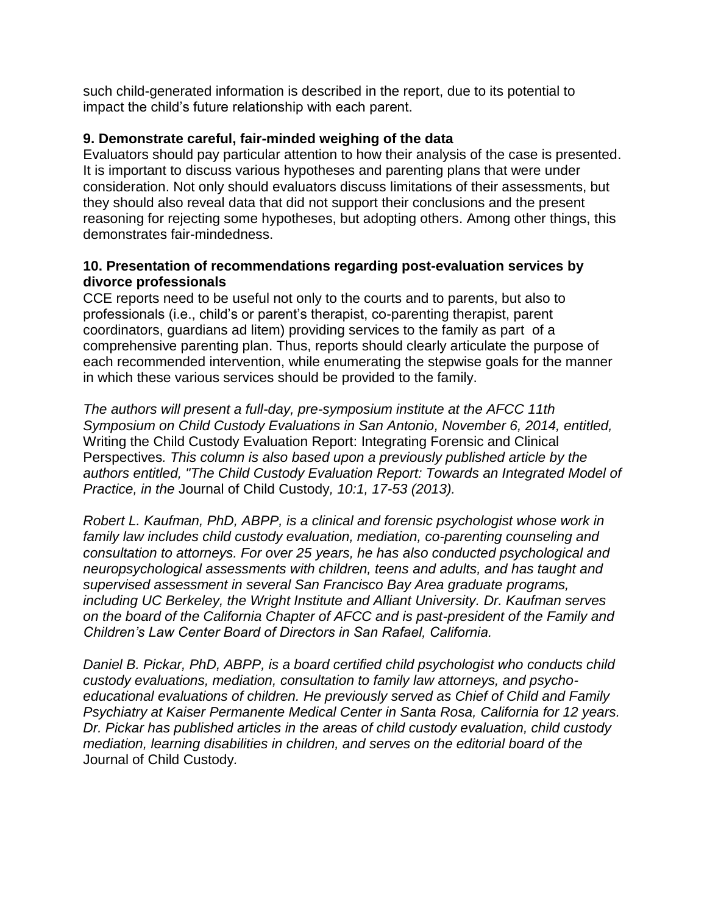such child-generated information is described in the report, due to its potential to impact the child's future relationship with each parent.

## **9. Demonstrate careful, fair-minded weighing of the data**

Evaluators should pay particular attention to how their analysis of the case is presented. It is important to discuss various hypotheses and parenting plans that were under consideration. Not only should evaluators discuss limitations of their assessments, but they should also reveal data that did not support their conclusions and the present reasoning for rejecting some hypotheses, but adopting others. Among other things, this demonstrates fair-mindedness.

## **10. Presentation of recommendations regarding post-evaluation services by divorce professionals**

CCE reports need to be useful not only to the courts and to parents, but also to professionals (i.e., child's or parent's therapist, co-parenting therapist, parent coordinators, guardians ad litem) providing services to the family as part of a comprehensive parenting plan. Thus, reports should clearly articulate the purpose of each recommended intervention, while enumerating the stepwise goals for the manner in which these various services should be provided to the family.

*The authors will present a full-day, pre-symposium institute at the AFCC 11th Symposium on Child Custody Evaluations in San Antonio, November 6, 2014, entitled,*  Writing the Child Custody Evaluation Report: Integrating Forensic and Clinical Perspectives*. This column is also based upon a previously published article by the authors entitled, "The Child Custody Evaluation Report: Towards an Integrated Model of Practice, in the* Journal of Child Custody*, 10:1, 17-53 (2013).*

*Robert L. Kaufman, PhD, ABPP, is a clinical and forensic psychologist whose work in family law includes child custody evaluation, mediation, co-parenting counseling and consultation to attorneys. For over 25 years, he has also conducted psychological and neuropsychological assessments with children, teens and adults, and has taught and supervised assessment in several San Francisco Bay Area graduate programs, including UC Berkeley, the Wright Institute and Alliant University. Dr. Kaufman serves on the board of the California Chapter of AFCC and is past-president of the Family and Children's Law Center Board of Directors in San Rafael, California.*

*Daniel B. Pickar, PhD, ABPP, is a board certified child psychologist who conducts child custody evaluations, mediation, consultation to family law attorneys, and psychoeducational evaluations of children. He previously served as Chief of Child and Family Psychiatry at Kaiser Permanente Medical Center in Santa Rosa, California for 12 years. Dr. Pickar has published articles in the areas of child custody evaluation, child custody mediation, learning disabilities in children, and serves on the editorial board of the*  Journal of Child Custody*.*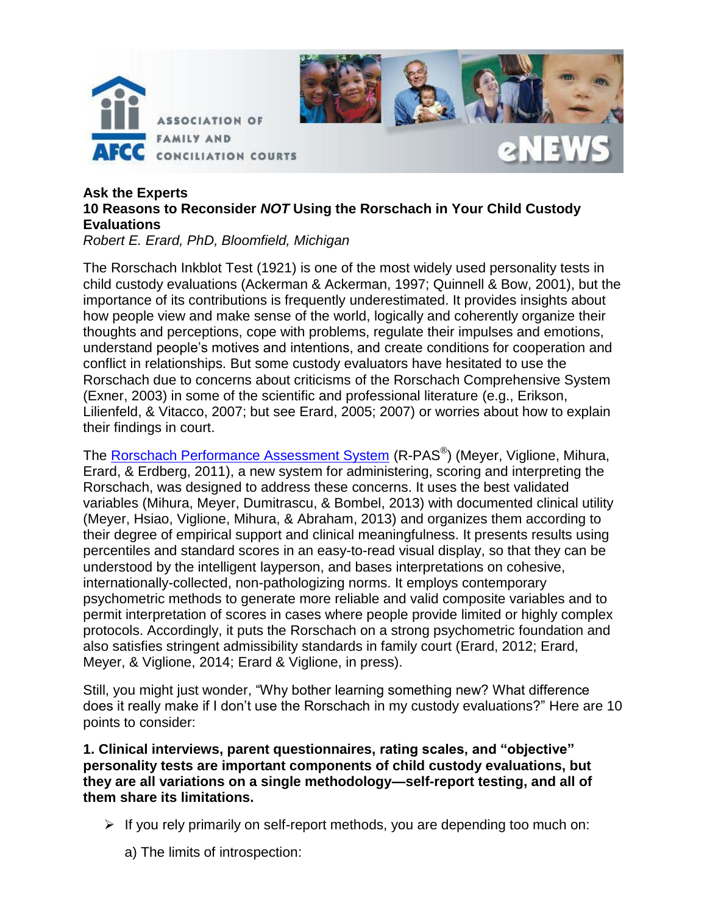



# **Ask the Experts 10 Reasons to Reconsider** *NOT* **Using the Rorschach in Your Child Custody Evaluations**

*Robert E. Erard, PhD, Bloomfield, Michigan*

The Rorschach Inkblot Test (1921) is one of the most widely used personality tests in child custody evaluations (Ackerman & Ackerman, 1997; Quinnell & Bow, 2001), but the importance of its contributions is frequently underestimated. It provides insights about how people view and make sense of the world, logically and coherently organize their thoughts and perceptions, cope with problems, regulate their impulses and emotions, understand people's motives and intentions, and create conditions for cooperation and conflict in relationships. But some custody evaluators have hesitated to use the Rorschach due to concerns about criticisms of the Rorschach Comprehensive System (Exner, 2003) in some of the scientific and professional literature (e.g., Erikson, Lilienfeld, & Vitacco, 2007; but see Erard, 2005; 2007) or worries about how to explain their findings in court.

The <u>Rorschach Performance Assessment System</u> (R-PAS<sup>®</sup>) (Meyer, Viglione, Mihura, Erard, & Erdberg, 2011), a new system for administering, scoring and interpreting the Rorschach, was designed to address these concerns. It uses the best validated variables (Mihura, Meyer, Dumitrascu, & Bombel, 2013) with documented clinical utility (Meyer, Hsiao, Viglione, Mihura, & Abraham, 2013) and organizes them according to their degree of empirical support and clinical meaningfulness. It presents results using percentiles and standard scores in an easy-to-read visual display, so that they can be understood by the intelligent layperson, and bases interpretations on cohesive, internationally-collected, non-pathologizing norms. It employs contemporary psychometric methods to generate more reliable and valid composite variables and to permit interpretation of scores in cases where people provide limited or highly complex protocols. Accordingly, it puts the Rorschach on a strong psychometric foundation and also satisfies stringent admissibility standards in family court (Erard, 2012; Erard, Meyer, & Viglione, 2014; Erard & Viglione, in press).

Still, you might just wonder, "Why bother learning something new? What difference does it really make if I don't use the Rorschach in my custody evaluations?" Here are 10 points to consider:

**1. Clinical interviews, parent questionnaires, rating scales, and "objective" personality tests are important components of child custody evaluations, but they are all variations on a single methodology—self-report testing, and all of them share its limitations.**

- $\triangleright$  If you rely primarily on self-report methods, you are depending too much on:
	- a) The limits of introspection: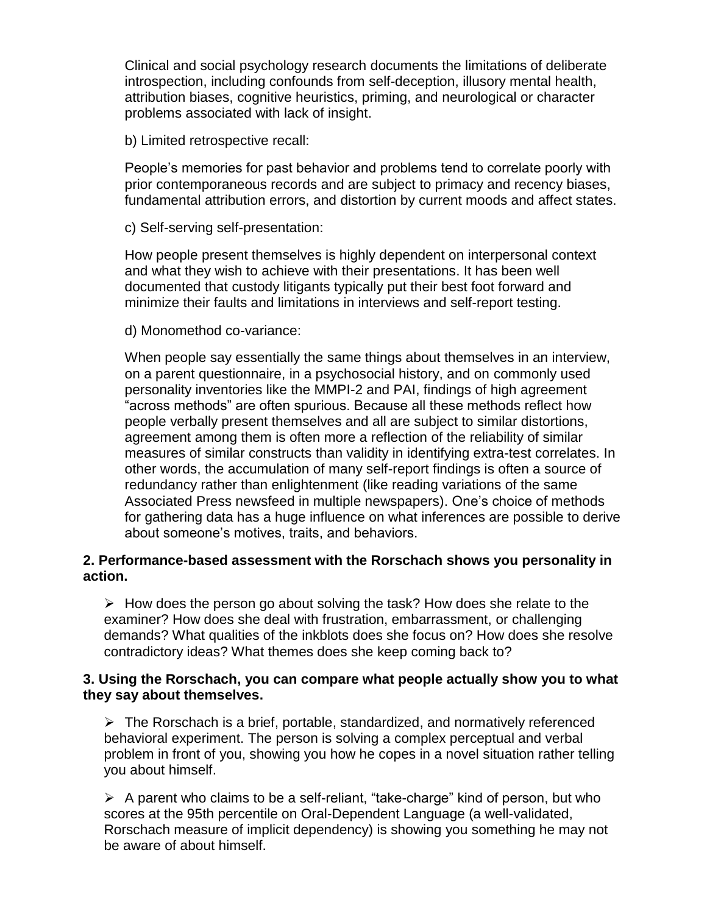Clinical and social psychology research documents the limitations of deliberate introspection, including confounds from self-deception, illusory mental health, attribution biases, cognitive heuristics, priming, and neurological or character problems associated with lack of insight.

b) Limited retrospective recall:

People's memories for past behavior and problems tend to correlate poorly with prior contemporaneous records and are subject to primacy and recency biases, fundamental attribution errors, and distortion by current moods and affect states.

c) Self-serving self-presentation:

How people present themselves is highly dependent on interpersonal context and what they wish to achieve with their presentations. It has been well documented that custody litigants typically put their best foot forward and minimize their faults and limitations in interviews and self-report testing.

d) Monomethod co-variance:

When people say essentially the same things about themselves in an interview, on a parent questionnaire, in a psychosocial history, and on commonly used personality inventories like the MMPI-2 and PAI, findings of high agreement "across methods" are often spurious. Because all these methods reflect how people verbally present themselves and all are subject to similar distortions, agreement among them is often more a reflection of the reliability of similar measures of similar constructs than validity in identifying extra-test correlates. In other words, the accumulation of many self-report findings is often a source of redundancy rather than enlightenment (like reading variations of the same Associated Press newsfeed in multiple newspapers). One's choice of methods for gathering data has a huge influence on what inferences are possible to derive about someone's motives, traits, and behaviors.

## **2. Performance-based assessment with the Rorschach shows you personality in action.**

 $\triangleright$  How does the person go about solving the task? How does she relate to the examiner? How does she deal with frustration, embarrassment, or challenging demands? What qualities of the inkblots does she focus on? How does she resolve contradictory ideas? What themes does she keep coming back to?

## **3. Using the Rorschach, you can compare what people actually show you to what they say about themselves.**

 $\triangleright$  The Rorschach is a brief, portable, standardized, and normatively referenced behavioral experiment. The person is solving a complex perceptual and verbal problem in front of you, showing you how he copes in a novel situation rather telling you about himself.

 $\triangleright$  A parent who claims to be a self-reliant, "take-charge" kind of person, but who scores at the 95th percentile on Oral-Dependent Language (a well-validated, Rorschach measure of implicit dependency) is showing you something he may not be aware of about himself.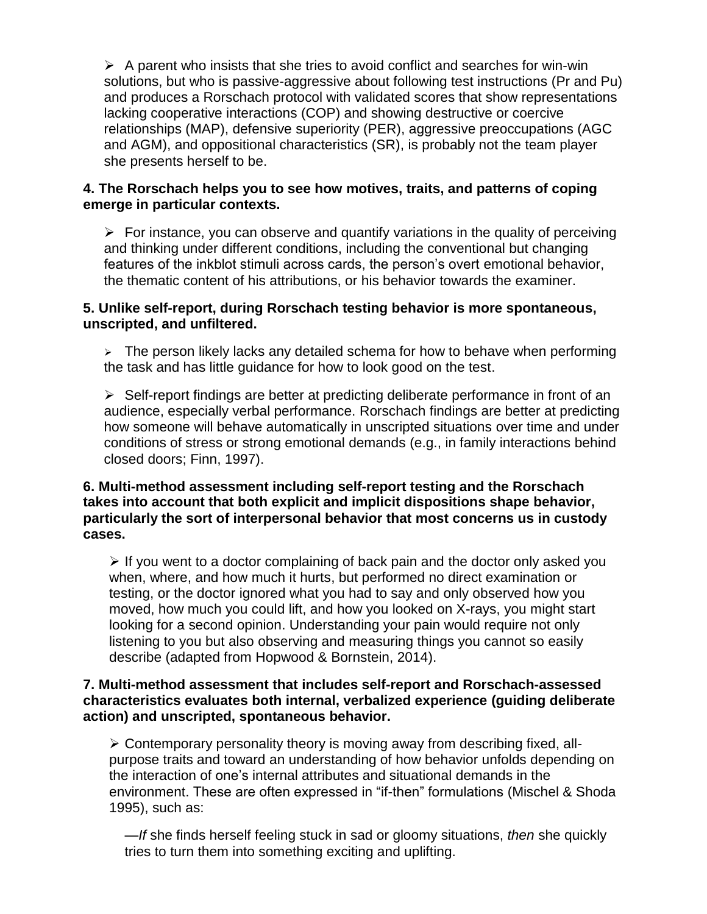$\triangleright$  A parent who insists that she tries to avoid conflict and searches for win-win solutions, but who is passive-aggressive about following test instructions (Pr and Pu) and produces a Rorschach protocol with validated scores that show representations lacking cooperative interactions (COP) and showing destructive or coercive relationships (MAP), defensive superiority (PER), aggressive preoccupations (AGC and AGM), and oppositional characteristics (SR), is probably not the team player she presents herself to be.

## **4. The Rorschach helps you to see how motives, traits, and patterns of coping emerge in particular contexts.**

 $\triangleright$  For instance, you can observe and quantify variations in the quality of perceiving and thinking under different conditions, including the conventional but changing features of the inkblot stimuli across cards, the person's overt emotional behavior, the thematic content of his attributions, or his behavior towards the examiner.

## **5. Unlike self-report, during Rorschach testing behavior is more spontaneous, unscripted, and unfiltered.**

 $\geq$  The person likely lacks any detailed schema for how to behave when performing the task and has little guidance for how to look good on the test.

 $\triangleright$  Self-report findings are better at predicting deliberate performance in front of an audience, especially verbal performance. Rorschach findings are better at predicting how someone will behave automatically in unscripted situations over time and under conditions of stress or strong emotional demands (e.g., in family interactions behind closed doors; Finn, 1997).

## **6. Multi-method assessment including self-report testing and the Rorschach takes into account that both explicit and implicit dispositions shape behavior, particularly the sort of interpersonal behavior that most concerns us in custody cases.**

 $\triangleright$  If you went to a doctor complaining of back pain and the doctor only asked you when, where, and how much it hurts, but performed no direct examination or testing, or the doctor ignored what you had to say and only observed how you moved, how much you could lift, and how you looked on X-rays, you might start looking for a second opinion. Understanding your pain would require not only listening to you but also observing and measuring things you cannot so easily describe (adapted from Hopwood & Bornstein, 2014).

## **7. Multi-method assessment that includes self-report and Rorschach-assessed characteristics evaluates both internal, verbalized experience (guiding deliberate action) and unscripted, spontaneous behavior.**

 Contemporary personality theory is moving away from describing fixed, allpurpose traits and toward an understanding of how behavior unfolds depending on the interaction of one's internal attributes and situational demands in the environment. These are often expressed in "if-then" formulations (Mischel & Shoda 1995), such as:

—*If* she finds herself feeling stuck in sad or gloomy situations, *then* she quickly tries to turn them into something exciting and uplifting.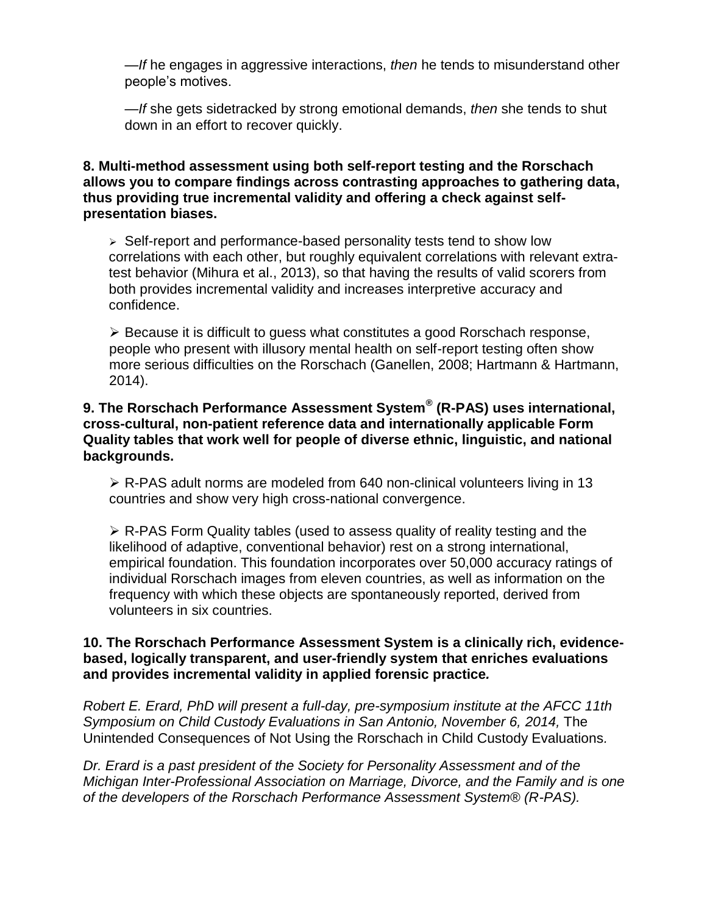—*If* he engages in aggressive interactions, *then* he tends to misunderstand other people's motives.

—*If* she gets sidetracked by strong emotional demands, *then* she tends to shut down in an effort to recover quickly.

## **8. Multi-method assessment using both self-report testing and the Rorschach allows you to compare findings across contrasting approaches to gathering data, thus providing true incremental validity and offering a check against selfpresentation biases.**

 $\triangleright$  Self-report and performance-based personality tests tend to show low correlations with each other, but roughly equivalent correlations with relevant extratest behavior (Mihura et al., 2013), so that having the results of valid scorers from both provides incremental validity and increases interpretive accuracy and confidence.

 $\triangleright$  Because it is difficult to quess what constitutes a good Rorschach response, people who present with illusory mental health on self-report testing often show more serious difficulties on the Rorschach (Ganellen, 2008; Hartmann & Hartmann, 2014).

## **9. The Rorschach Performance Assessment System® (R-PAS) uses international, cross-cultural, non-patient reference data and internationally applicable Form Quality tables that work well for people of diverse ethnic, linguistic, and national backgrounds.**

 $\triangleright$  R-PAS adult norms are modeled from 640 non-clinical volunteers living in 13 countries and show very high cross-national convergence.

 $\triangleright$  R-PAS Form Quality tables (used to assess quality of reality testing and the likelihood of adaptive, conventional behavior) rest on a strong international, empirical foundation. This foundation incorporates over 50,000 accuracy ratings of individual Rorschach images from eleven countries, as well as information on the frequency with which these objects are spontaneously reported, derived from volunteers in six countries.

## **10. The Rorschach Performance Assessment System is a clinically rich, evidencebased, logically transparent, and user-friendly system that enriches evaluations and provides incremental validity in applied forensic practice***.*

*Robert E. Erard, PhD will present a full-day, pre-symposium institute at the AFCC 11th Symposium on Child Custody Evaluations in San Antonio, November 6, 2014,* The Unintended Consequences of Not Using the Rorschach in Child Custody Evaluations*.* 

*Dr. Erard is a past president of the Society for Personality Assessment and of the Michigan Inter-Professional Association on Marriage, Divorce, and the Family and is one of the developers of the Rorschach Performance Assessment System® (R-PAS).*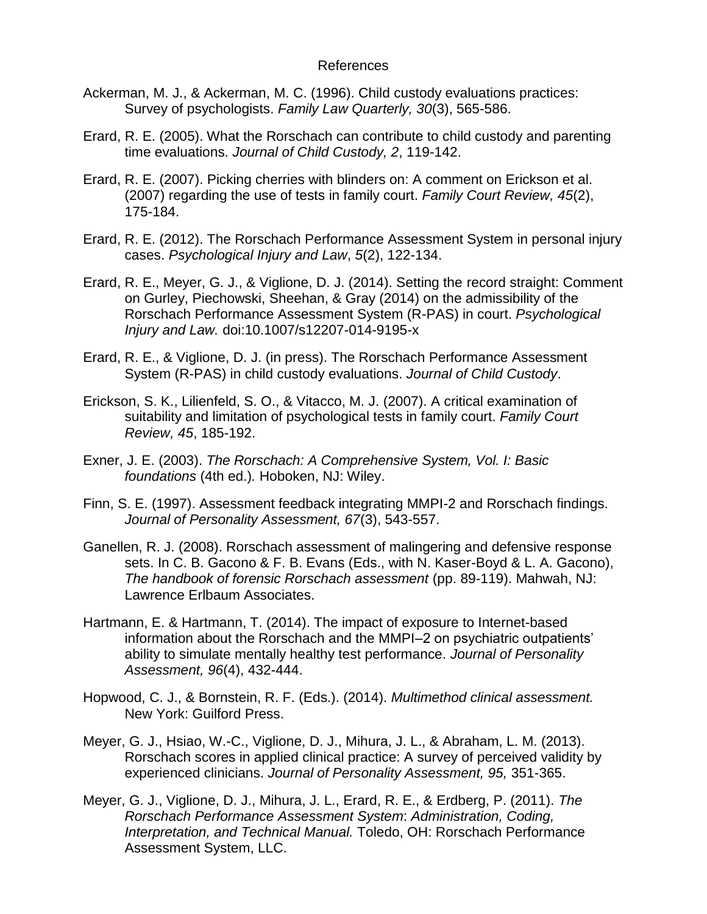#### References

- Ackerman, M. J., & Ackerman, M. C. (1996). Child custody evaluations practices: Survey of psychologists. *Family Law Quarterly, 30*(3), 565-586.
- Erard, R. E. (2005). What the Rorschach can contribute to child custody and parenting time evaluations. *Journal of Child Custody, 2*, 119-142.
- Erard, R. E. (2007). Picking cherries with blinders on: A comment on Erickson et al. (2007) regarding the use of tests in family court. *Family Court Review, 45*(2), 175-184.
- Erard, R. E. (2012). The Rorschach Performance Assessment System in personal injury cases. *Psychological Injury and Law*, *5*(2), 122-134.
- Erard, R. E., Meyer, G. J., & Viglione, D. J. (2014). Setting the record straight: Comment on Gurley, Piechowski, Sheehan, & Gray (2014) on the admissibility of the Rorschach Performance Assessment System (R-PAS) in court. *Psychological Injury and Law.* doi:10.1007/s12207-014-9195-x
- Erard, R. E., & Viglione, D. J. (in press). The Rorschach Performance Assessment System (R-PAS) in child custody evaluations. *Journal of Child Custody*.
- Erickson, S. K., Lilienfeld, S. O., & Vitacco, M. J. (2007). A critical examination of suitability and limitation of psychological tests in family court. *Family Court Review, 45*, 185-192.
- Exner, J. E. (2003). *The Rorschach: A Comprehensive System, Vol. I: Basic foundations* (4th ed.)*.* Hoboken, NJ: Wiley.
- Finn, S. E. (1997). Assessment feedback integrating MMPI-2 and Rorschach findings. *Journal of Personality Assessment, 67*(3), 543-557.
- Ganellen, R. J. (2008). Rorschach assessment of malingering and defensive response sets. In C. B. Gacono & F. B. Evans (Eds., with N. Kaser-Boyd & L. A. Gacono), *The handbook of forensic Rorschach assessment* (pp. 89-119). Mahwah, NJ: Lawrence Erlbaum Associates.
- Hartmann, E. & Hartmann, T. (2014). The impact of exposure to Internet-based information about the Rorschach and the MMPI–2 on psychiatric outpatients' ability to simulate mentally healthy test performance. *Journal of Personality Assessment, 96*(4), 432-444.
- Hopwood, C. J., & Bornstein, R. F. (Eds.). (2014). *Multimethod clinical assessment.*  New York: Guilford Press.
- Meyer, G. J., Hsiao, W.-C., Viglione, D. J., Mihura, J. L., & Abraham, L. M. (2013). Rorschach scores in applied clinical practice: A survey of perceived validity by experienced clinicians. *Journal of Personality Assessment, 95,* 351-365.
- Meyer, G. J., Viglione, D. J., Mihura, J. L., Erard, R. E., & Erdberg, P. (2011). *The Rorschach Performance Assessment System*: *Administration, Coding, Interpretation, and Technical Manual.* Toledo, OH: Rorschach Performance Assessment System, LLC.